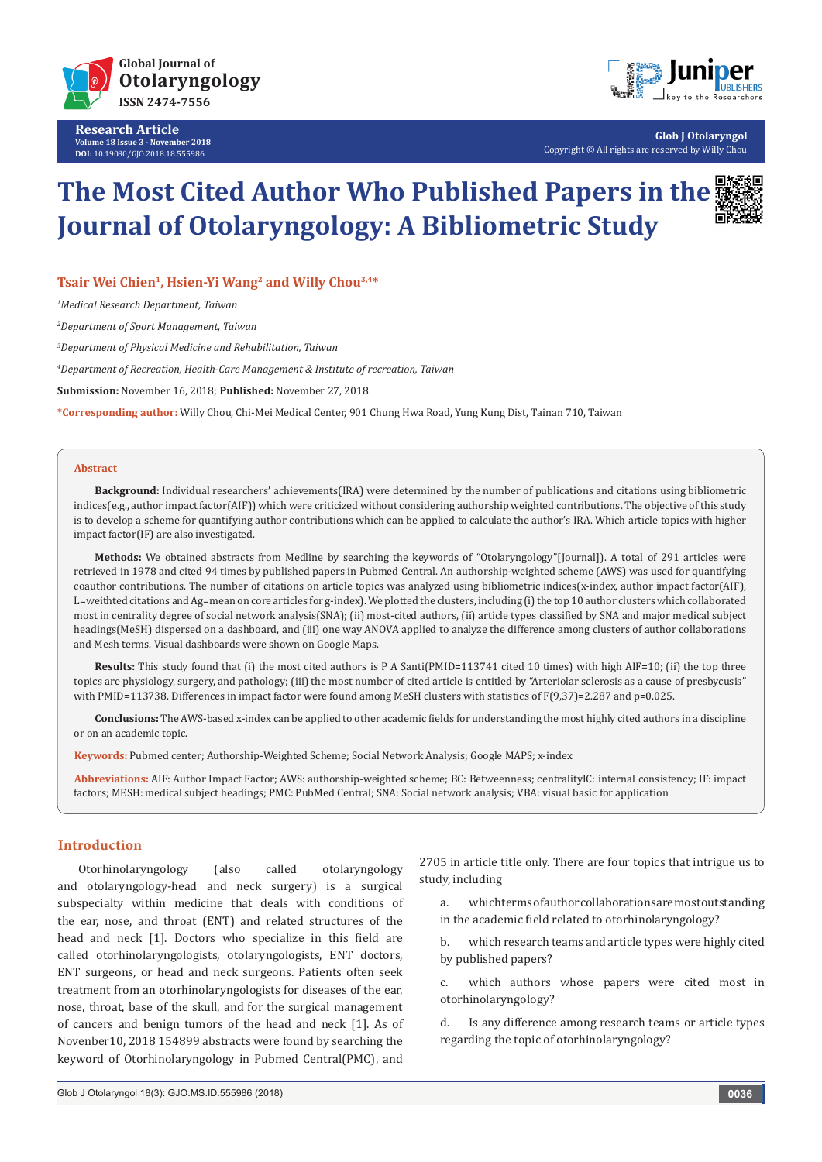

**Research Article Volume 18 Issue 3 - November 2018 DOI:** [10.19080/GJO.2018.18.555986](http://dx.doi.org/10.19080/GJO.2018.18.555986)



**Glob J Otolaryngol** Copyright © All rights are reserved by Willy Chou

# **The Most Cited Author Who Published Papers in the Journal of Otolaryngology: A Bibliometric Study**



**Tsair Wei Chien1, Hsien-Yi Wang2 and Willy Chou3,4\***

*1 Medical Research Department, Taiwan*

*2 Department of Sport Management, Taiwan*

*3 Department of Physical Medicine and Rehabilitation, Taiwan* 

*4 Department of Recreation, Health-Care Management & Institute of recreation, Taiwan*

**Submission:** November 16, 2018; **Published:** November 27, 2018

**\*Corresponding author:** Willy Chou, Chi-Mei Medical Center, 901 Chung Hwa Road, Yung Kung Dist, Tainan 710, Taiwan

#### **Abstract**

**Background:** Individual researchers' achievements(IRA) were determined by the number of publications and citations using bibliometric indices(e.g., author impact factor(AIF)) which were criticized without considering authorship weighted contributions. The objective of this study is to develop a scheme for quantifying author contributions which can be applied to calculate the author's IRA. Which article topics with higher impact factor(IF) are also investigated.

**Methods:** We obtained abstracts from Medline by searching the keywords of "Otolaryngology"[Journal]). A total of 291 articles were retrieved in 1978 and cited 94 times by published papers in Pubmed Central. An authorship-weighted scheme (AWS) was used for quantifying coauthor contributions. The number of citations on article topics was analyzed using bibliometric indices(x-index, author impact factor(AIF), L=weithted citations and Ag=mean on core articles for g-index). We plotted the clusters, including (i) the top 10 author clusters which collaborated most in centrality degree of social network analysis(SNA); (ii) most-cited authors, (ii) article types classified by SNA and major medical subject headings(MeSH) dispersed on a dashboard, and (iii) one way ANOVA applied to analyze the difference among clusters of author collaborations and Mesh terms. Visual dashboards were shown on Google Maps.

**Results:** This study found that (i) the most cited authors is P A Santi(PMID=113741 cited 10 times) with high AIF=10; (ii) the top three topics are physiology, surgery, and pathology; (iii) the most number of cited article is entitled by "Arteriolar sclerosis as a cause of presbycusis" with PMID=113738. Differences in impact factor were found among MeSH clusters with statistics of F(9,37)=2.287 and p=0.025.

**Conclusions:** The AWS-based x-index can be applied to other academic fields for understanding the most highly cited authors in a discipline or on an academic topic.

**Keywords:** Pubmed center; Authorship-Weighted Scheme; Social Network Analysis; Google MAPS; x-index

**Abbreviations:** AIF: Author Impact Factor; AWS: authorship-weighted scheme; BC: Betweenness; centralityIC: internal consistency; IF: impact factors; MESH: medical subject headings; PMC: PubMed Central; SNA: Social network analysis; VBA: visual basic for application

## **Introduction**

Otorhinolaryngology (also called otolaryngology and otolaryngology-head and neck surgery) is a surgical subspecialty within medicine that deals with conditions of the ear, nose, and throat (ENT) and related structures of the head and neck [1]. Doctors who specialize in this field are called otorhinolaryngologists, otolaryngologists, ENT doctors, ENT surgeons, or head and neck surgeons. Patients often seek treatment from an otorhinolaryngologists for diseases of the ear, nose, throat, base of the skull, and for the surgical management of cancers and benign tumors of the head and neck [1]. As of Novenber10, 2018 154899 abstracts were found by searching the keyword of Otorhinolaryngology in Pubmed Central(PMC), and

2705 in article title only. There are four topics that intrigue us to study, including

a. which terms of author collaborations are most outstanding in the academic field related to otorhinolaryngology?

b. which research teams and article types were highly cited by published papers?

c. which authors whose papers were cited most in otorhinolaryngology?

d. Is any difference among research teams or article types regarding the topic of otorhinolaryngology?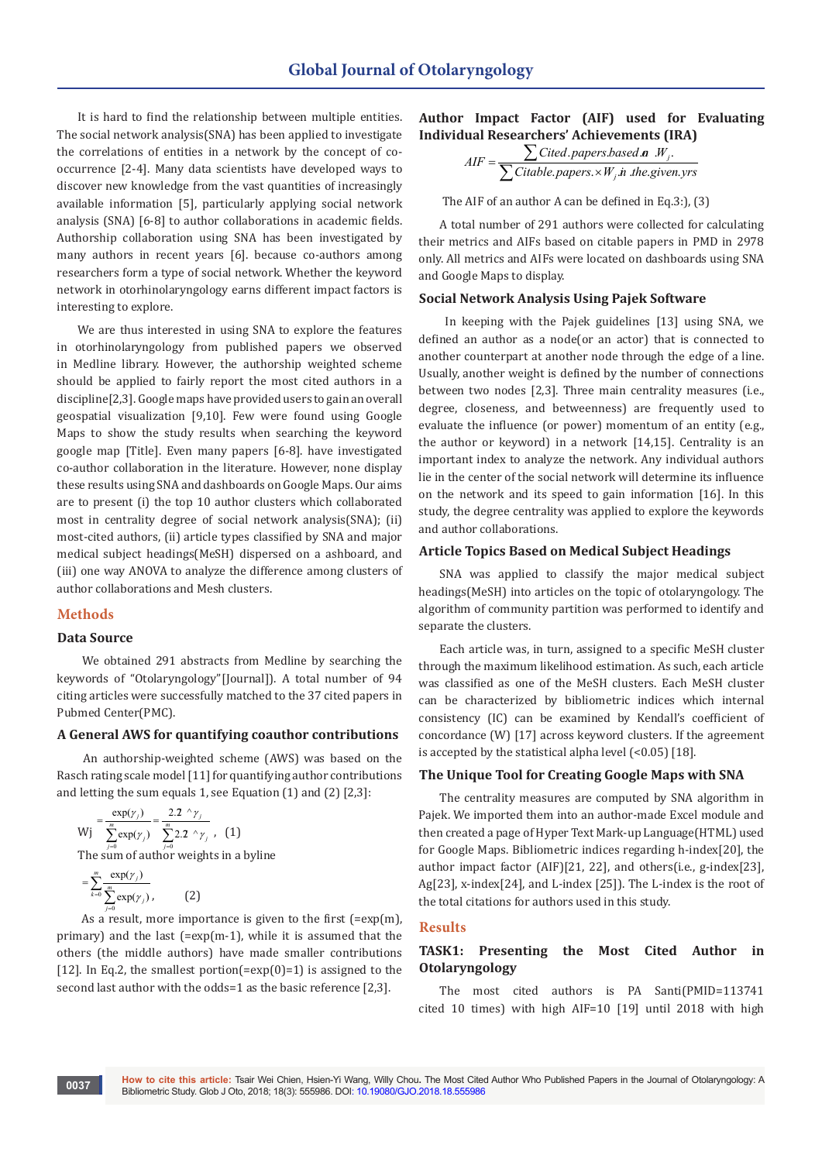It is hard to find the relationship between multiple entities. The social network analysis(SNA) has been applied to investigate the correlations of entities in a network by the concept of cooccurrence [2-4]. Many data scientists have developed ways to discover new knowledge from the vast quantities of increasingly available information [5], particularly applying social network analysis (SNA) [6-8] to author collaborations in academic fields. Authorship collaboration using SNA has been investigated by many authors in recent years [6]. because co-authors among researchers form a type of social network. Whether the keyword network in otorhinolaryngology earns different impact factors is interesting to explore.

We are thus interested in using SNA to explore the features in otorhinolaryngology from published papers we observed in Medline library. However, the authorship weighted scheme should be applied to fairly report the most cited authors in a discipline[2,3]. Google maps have provided users to gain an overall geospatial visualization [9,10]. Few were found using Google Maps to show the study results when searching the keyword google map [Title]. Even many papers [6-8]. have investigated co-author collaboration in the literature. However, none display these results using SNA and dashboards on Google Maps. Our aims are to present (i) the top 10 author clusters which collaborated most in centrality degree of social network analysis(SNA); (ii) most-cited authors, (ii) article types classified by SNA and major medical subject headings(MeSH) dispersed on a ashboard, and (iii) one way ANOVA to analyze the difference among clusters of author collaborations and Mesh clusters.

## **Methods**

#### **Data Source**

 We obtained 291 abstracts from Medline by searching the keywords of "Otolaryngology"[Journal]). A total number of 94 citing articles were successfully matched to the 37 cited papers in Pubmed Center(PMC).

#### **A General AWS for quantifying coauthor contributions**

 An authorship-weighted scheme (AWS) was based on the Rasch rating scale model [11] for quantifying author contributions and letting the sum equals 1, see Equation (1) and (2) [2,3]:

$$
Wj = \frac{\exp(y_j)}{\sum_{j=0}^{m} \exp(y_j)} = \frac{2.2 \cdot \gamma_j}{\sum_{j=0}^{m} 2.2 \cdot \gamma_j},
$$
 (1)  
The sum of author weights in a byline  
= 
$$
\sum_{j=0}^{m} \frac{\exp(y_j)}{\sum_{j=0}^{m} \exp(y_j)}
$$

$$
=\sum_{k=0}^{\infty}\frac{\exp(\gamma_j)}{\sum_{j=0}^m\exp(\gamma_j)},
$$
 (2)

 As a result, more importance is given to the first (=exp(m), primary) and the last (=exp(m-1), while it is assumed that the others (the middle authors) have made smaller contributions [12]. In Eq.2, the smallest portion(= $exp(0)=1$ ) is assigned to the second last author with the odds=1 as the basic reference [2,3].

## **Author Impact Factor (AIF) used for Evaluating Individual Researchers' Achievements (IRA)**

$$
AIF = \frac{\sum Cited.papers-based \cdot a \cdot W_j}{\sum Citable.papers. \times W_j \cdot n \cdot the.given.yrs}
$$

The AIF of an author A can be defined in Eq.3:), (3)

A total number of 291 authors were collected for calculating their metrics and AIFs based on citable papers in PMD in 2978 only. All metrics and AIFs were located on dashboards using SNA and Google Maps to display.

## **Social Network Analysis Using Pajek Software**

 In keeping with the Pajek guidelines [13] using SNA, we defined an author as a node(or an actor) that is connected to another counterpart at another node through the edge of a line. Usually, another weight is defined by the number of connections between two nodes [2,3]. Three main centrality measures (i.e., degree, closeness, and betweenness) are frequently used to evaluate the influence (or power) momentum of an entity (e.g., the author or keyword) in a network [14,15]. Centrality is an important index to analyze the network. Any individual authors lie in the center of the social network will determine its influence on the network and its speed to gain information [16]. In this study, the degree centrality was applied to explore the keywords and author collaborations.

## **Article Topics Based on Medical Subject Headings**

SNA was applied to classify the major medical subject headings(MeSH) into articles on the topic of otolaryngology. The algorithm of community partition was performed to identify and separate the clusters.

Each article was, in turn, assigned to a specific MeSH cluster through the maximum likelihood estimation. As such, each article was classified as one of the MeSH clusters. Each MeSH cluster can be characterized by bibliometric indices which internal consistency (IC) can be examined by Kendall's coefficient of concordance (W) [17] across keyword clusters. If the agreement is accepted by the statistical alpha level (<0.05) [18].

#### **The Unique Tool for Creating Google Maps with SNA**

The centrality measures are computed by SNA algorithm in Pajek. We imported them into an author-made Excel module and then created a page of Hyper Text Mark-up Language(HTML) used for Google Maps. Bibliometric indices regarding h-index[20], the author impact factor (AIF)[21, 22], and others(i.e., g-index[23], Ag[23], x-index[24], and L-index [25]). The L-index is the root of the total citations for authors used in this study.

#### **Results**

## **TASK1: Presenting the Most Cited Author in Otolaryngology**

The most cited authors is PA Santi(PMID=113741 cited 10 times) with high AIF=10 [19] until 2018 with high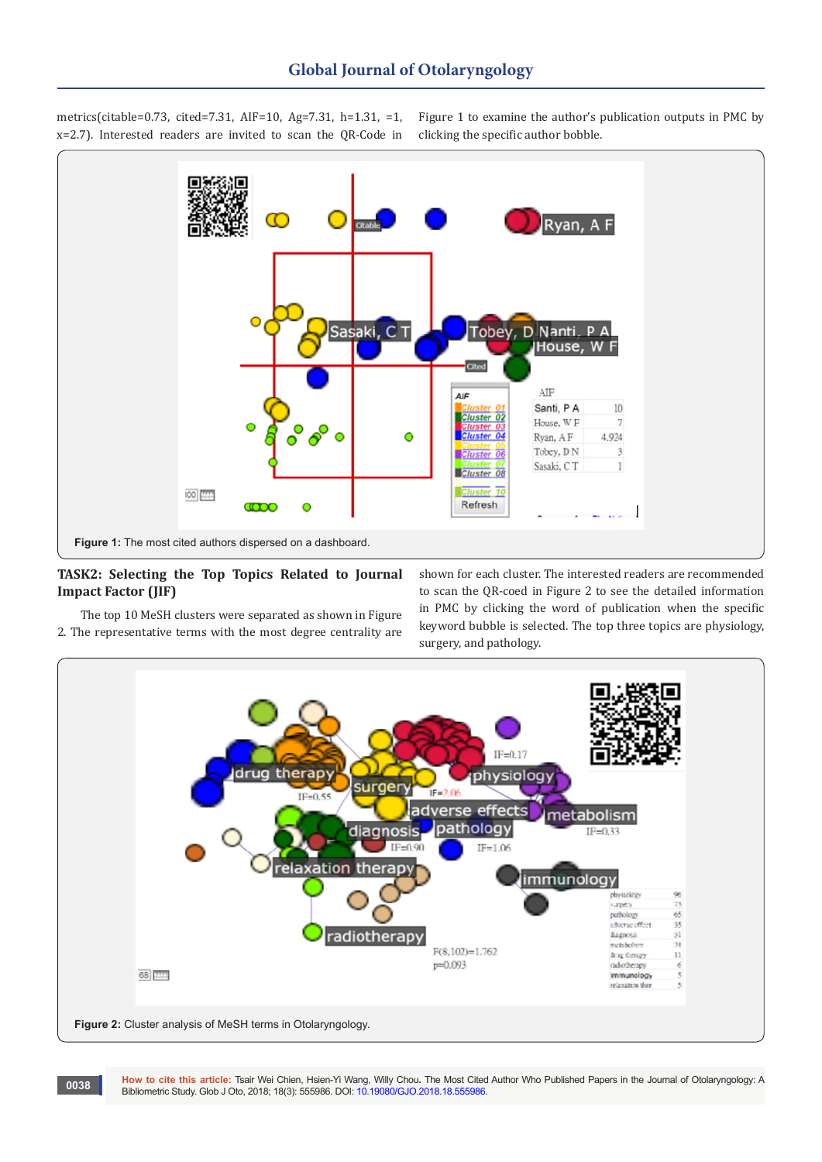metrics(citable=0.73, cited=7.31, AIF=10, Ag=7.31, h=1.31, =1, x=2.7). Interested readers are invited to scan the QR-Code in

Figure 1 to examine the author's publication outputs in PMC by clicking the specific author bobble.



## **TASK2: Selecting the Top Topics Related to Journal Impact Factor (JIF)**

 The top 10 MeSH clusters were separated as shown in Figure 2. The representative terms with the most degree centrality are

shown for each cluster. The interested readers are recommended to scan the QR-coed in Figure 2 to see the detailed information in PMC by clicking the word of publication when the specific keyword bubble is selected. The top three topics are physiology, surgery, and pathology.



**How to cite this article:** Tsair Wei Chien, Hsien-Yi Wang, Willy Chou**.** The Most Cited Author Who Published Papers in the Journal of Otolaryngology: A Bibliometric Study. Glob J Oto, 2018; 18(3): 555986. DOI: [10.19080/GJO.2018.18.555986.](http://dx.doi.org/10.19080/GJO.2018.18.555986)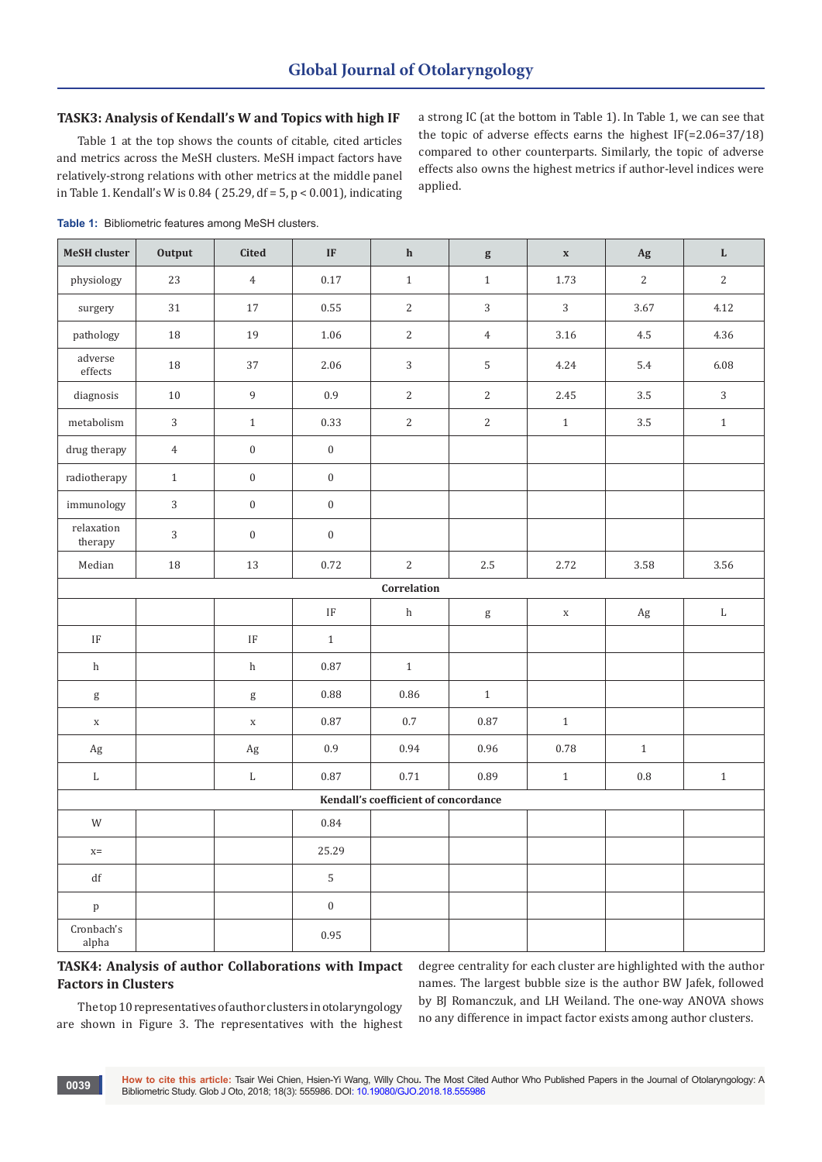## **TASK3: Analysis of Kendall's W and Topics with high IF**

Table 1 at the top shows the counts of citable, cited articles and metrics across the MeSH clusters. MeSH impact factors have relatively-strong relations with other metrics at the middle panel in Table 1. Kendall's W is 0.84 ( 25.29, df = 5, p < 0.001), indicating a strong IC (at the bottom in Table 1). In Table 1, we can see that the topic of adverse effects earns the highest IF(=2.06=37/18) compared to other counterparts. Similarly, the topic of adverse effects also owns the highest metrics if author-level indices were applied.

| <b>MeSH</b> cluster     | Output         | <b>Cited</b>     | $\ensuremath{\mathsf{IF}}$ | ${\bf h}$                            | $\mathbf{g}$                                                                                                                                                                                                                                                                                                                                                                                                                   | $\mathbf X$    | Ag         | ${\bf L}$      |
|-------------------------|----------------|------------------|----------------------------|--------------------------------------|--------------------------------------------------------------------------------------------------------------------------------------------------------------------------------------------------------------------------------------------------------------------------------------------------------------------------------------------------------------------------------------------------------------------------------|----------------|------------|----------------|
| physiology              | 23             | $\sqrt{4}$       | $0.17\,$                   | $\mathbf{1}$                         | $\mathbf{1}$                                                                                                                                                                                                                                                                                                                                                                                                                   | 1.73           | $\sqrt{2}$ | $\sqrt{2}$     |
| surgery                 | 31             | 17               | 0.55                       | $\sqrt{2}$                           | $\overline{3}$                                                                                                                                                                                                                                                                                                                                                                                                                 | $\overline{3}$ | 3.67       | 4.12           |
| pathology               | $18\,$         | 19               | $1.06\,$                   | $\sqrt{2}$                           | $\,4\,$                                                                                                                                                                                                                                                                                                                                                                                                                        | $3.16\,$       | $4.5\,$    | 4.36           |
| adverse<br>effects      | $18\,$         | 37               | 2.06                       | $\sqrt{3}$                           | 5                                                                                                                                                                                                                                                                                                                                                                                                                              | 4.24           | 5.4        | 6.08           |
| diagnosis               | $10\,$         | $\mathsf g$      | 0.9                        | $\overline{2}$                       | $\overline{2}$                                                                                                                                                                                                                                                                                                                                                                                                                 | 2.45           | 3.5        | $\overline{3}$ |
| metabolism              | $\overline{3}$ | $\,1\,$          | 0.33                       | $\sqrt{2}$                           | $\overline{2}$                                                                                                                                                                                                                                                                                                                                                                                                                 | $\,1\,$        | $3.5\,$    | $\,1\,$        |
| drug therapy            | $\overline{4}$ | $\boldsymbol{0}$ | $\boldsymbol{0}$           |                                      |                                                                                                                                                                                                                                                                                                                                                                                                                                |                |            |                |
| radiotherapy            | $\,1\,$        | $\boldsymbol{0}$ | $\boldsymbol{0}$           |                                      |                                                                                                                                                                                                                                                                                                                                                                                                                                |                |            |                |
| immunology              | $\sqrt{3}$     | $\boldsymbol{0}$ | $\boldsymbol{0}$           |                                      |                                                                                                                                                                                                                                                                                                                                                                                                                                |                |            |                |
| relaxation<br>therapy   | $\overline{3}$ | $\boldsymbol{0}$ | $\boldsymbol{0}$           |                                      |                                                                                                                                                                                                                                                                                                                                                                                                                                |                |            |                |
| Median                  | $18\,$         | 13               | 0.72                       | $\sqrt{2}$                           | 2.5                                                                                                                                                                                                                                                                                                                                                                                                                            | 2.72           | 3.58       | 3.56           |
|                         |                |                  |                            | Correlation                          |                                                                                                                                                                                                                                                                                                                                                                                                                                |                |            |                |
|                         |                |                  | $\operatorname{IF}$        | h                                    | $\mathbf{g}% _{T}=\mathbf{g}_{T}=\mathbf{g}_{T}=\mathbf{g}_{T}=\mathbf{g}_{T}=\mathbf{g}_{T}=\mathbf{g}_{T}=\mathbf{g}_{T}=\mathbf{g}_{T}=\mathbf{g}_{T}=\mathbf{g}_{T}=\mathbf{g}_{T}=\mathbf{g}_{T}=\mathbf{g}_{T}=\mathbf{g}_{T}=\mathbf{g}_{T}=\mathbf{g}_{T}=\mathbf{g}_{T}=\mathbf{g}_{T}=\mathbf{g}_{T}=\mathbf{g}_{T}=\mathbf{g}_{T}=\mathbf{g}_{T}=\mathbf{g}_{T}=\mathbf{g}_{T}=\mathbf{g}_{T}=\mathbf{g}_{T}=\math$ | $\mathbf X$    | Ag         | $\mathbf L$    |
| $\operatorname{IF}$     |                | $\rm IF$         | $1\,$                      |                                      |                                                                                                                                                                                                                                                                                                                                                                                                                                |                |            |                |
| $\,$ h                  |                | $\,$ h           | $\rm 0.87$                 | $\,1\,$                              |                                                                                                                                                                                                                                                                                                                                                                                                                                |                |            |                |
| $\mathbf g$             |                | $\mathbf g$      | 0.88                       | 0.86                                 | $1\,$                                                                                                                                                                                                                                                                                                                                                                                                                          |                |            |                |
| $\mathbf X$             |                | $\mathbf X$      | 0.87                       | $0.7\,$                              | 0.87                                                                                                                                                                                                                                                                                                                                                                                                                           | $\mathbf{1}$   |            |                |
| $\rm Ag$                |                | $\rm Ag$         | 0.9                        | 0.94                                 | 0.96                                                                                                                                                                                                                                                                                                                                                                                                                           | $0.78\,$       | $\,1\,$    |                |
| L                       |                | $\mathbf{L}$     | 0.87                       | 0.71                                 | 0.89                                                                                                                                                                                                                                                                                                                                                                                                                           | $\mathbf{1}$   | 0.8        | $\,1\,$        |
|                         |                |                  |                            | Kendall's coefficient of concordance |                                                                                                                                                                                                                                                                                                                                                                                                                                |                |            |                |
| $\ensuremath{\text{W}}$ |                |                  | 0.84                       |                                      |                                                                                                                                                                                                                                                                                                                                                                                                                                |                |            |                |
| $x=$                    |                |                  | 25.29                      |                                      |                                                                                                                                                                                                                                                                                                                                                                                                                                |                |            |                |
| $\mathrm{d}\mathrm{f}$  |                |                  | $\overline{5}$             |                                      |                                                                                                                                                                                                                                                                                                                                                                                                                                |                |            |                |
| $\, {\rm p}$            |                |                  | $\boldsymbol{0}$           |                                      |                                                                                                                                                                                                                                                                                                                                                                                                                                |                |            |                |
| Cronbach's<br>alpha     |                |                  | 0.95                       |                                      |                                                                                                                                                                                                                                                                                                                                                                                                                                |                |            |                |

**Table 1:** Bibliometric features among MeSH clusters.

## **TASK4: Analysis of author Collaborations with Impact Factors in Clusters**

The top 10 representatives of author clusters in otolaryngology are shown in Figure 3. The representatives with the highest degree centrality for each cluster are highlighted with the author names. The largest bubble size is the author BW Jafek, followed by BJ Romanczuk, and LH Weiland. The one-way ANOVA shows no any difference in impact factor exists among author clusters.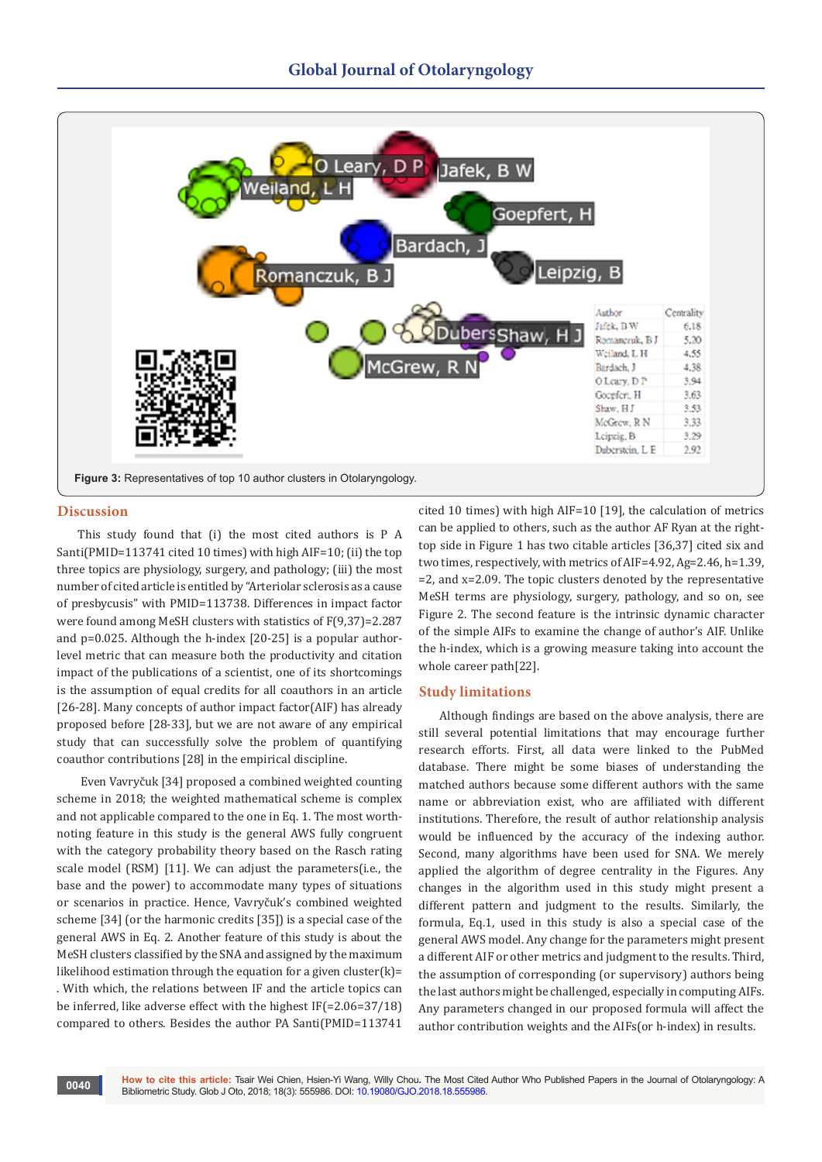

#### **Discussion**

This study found that (i) the most cited authors is P A Santi(PMID=113741 cited 10 times) with high AIF=10; (ii) the top three topics are physiology, surgery, and pathology; (iii) the most number of cited article is entitled by "Arteriolar sclerosis as a cause of presbycusis" with PMID=113738. Differences in impact factor were found among MeSH clusters with statistics of F(9,37)=2.287 and p=0.025. Although the h-index [20-25] is a popular authorlevel metric that can measure both the productivity and citation impact of the publications of a scientist, one of its shortcomings is the assumption of equal credits for all coauthors in an article [26-28]. Many concepts of author impact factor(AIF) has already proposed before [28-33], but we are not aware of any empirical study that can successfully solve the problem of quantifying coauthor contributions [28] in the empirical discipline.

 Even Vavryčuk [34] proposed a combined weighted counting scheme in 2018; the weighted mathematical scheme is complex and not applicable compared to the one in Eq. 1. The most worthnoting feature in this study is the general AWS fully congruent with the category probability theory based on the Rasch rating scale model (RSM) [11]. We can adjust the parameters(i.e., the base and the power) to accommodate many types of situations or scenarios in practice. Hence, Vavryčuk's combined weighted scheme [34] (or the harmonic credits [35]) is a special case of the general AWS in Eq. 2. Another feature of this study is about the MeSH clusters classified by the SNA and assigned by the maximum likelihood estimation through the equation for a given cluster $(k)$ = . With which, the relations between IF and the article topics can be inferred, like adverse effect with the highest IF(=2.06=37/18) compared to others. Besides the author PA Santi(PMID=113741

cited 10 times) with high AIF=10 [19], the calculation of metrics can be applied to others, such as the author AF Ryan at the righttop side in Figure 1 has two citable articles [36,37] cited six and two times, respectively, with metrics of AIF=4.92, Ag=2.46, h=1.39, =2, and x=2.09. The topic clusters denoted by the representative MeSH terms are physiology, surgery, pathology, and so on, see Figure 2. The second feature is the intrinsic dynamic character of the simple AIFs to examine the change of author's AIF. Unlike the h-index, which is a growing measure taking into account the whole career path[22].

#### **Study limitations**

Although findings are based on the above analysis, there are still several potential limitations that may encourage further research efforts. First, all data were linked to the PubMed database. There might be some biases of understanding the matched authors because some different authors with the same name or abbreviation exist, who are affiliated with different institutions. Therefore, the result of author relationship analysis would be influenced by the accuracy of the indexing author. Second, many algorithms have been used for SNA. We merely applied the algorithm of degree centrality in the Figures. Any changes in the algorithm used in this study might present a different pattern and judgment to the results. Similarly, the formula, Eq.1, used in this study is also a special case of the general AWS model. Any change for the parameters might present a different AIF or other metrics and judgment to the results. Third, the assumption of corresponding (or supervisory) authors being the last authors might be challenged, especially in computing AIFs. Any parameters changed in our proposed formula will affect the author contribution weights and the AIFs(or h-index) in results.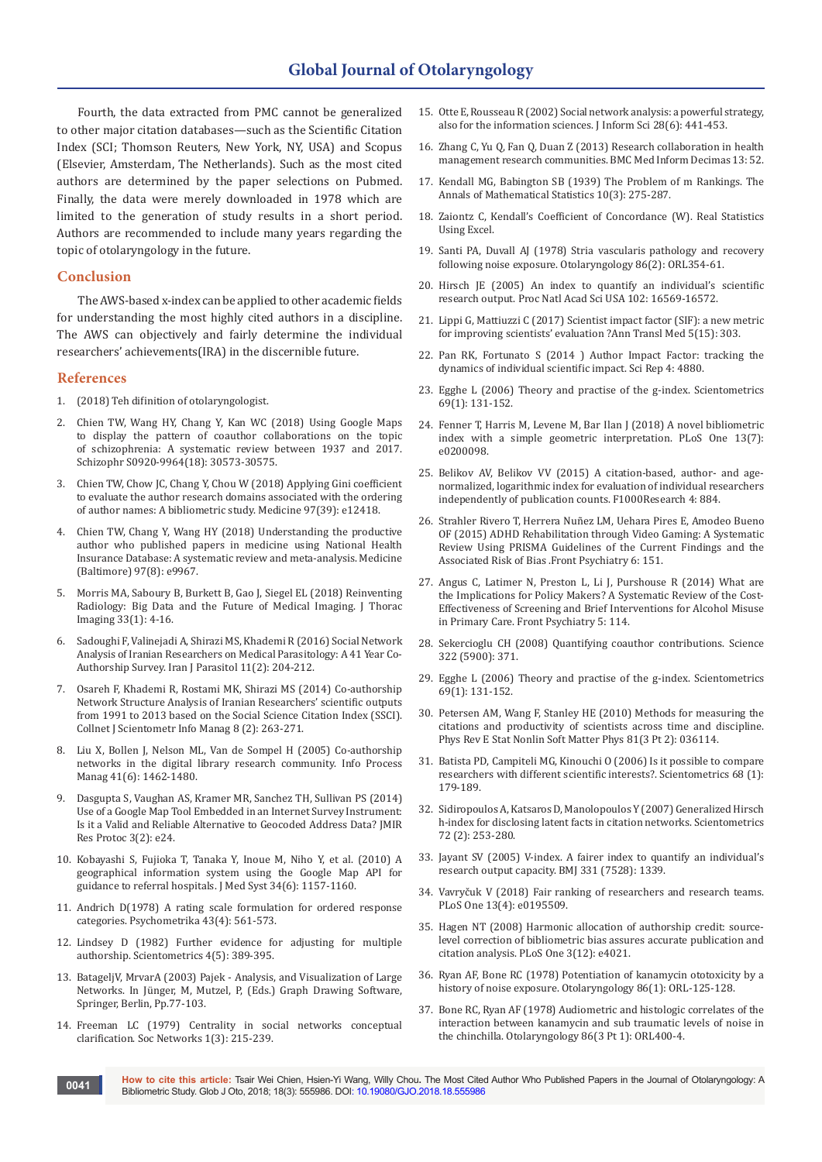Fourth, the data extracted from PMC cannot be generalized to other major citation databases—such as the Scientific Citation Index (SCI; Thomson Reuters, New York, NY, USA) and Scopus (Elsevier, Amsterdam, The Netherlands). Such as the most cited authors are determined by the paper selections on Pubmed. Finally, the data were merely downloaded in 1978 which are limited to the generation of study results in a short period. Authors are recommended to include many years regarding the topic of otolaryngology in the future.

#### **Conclusion**

The AWS-based x-index can be applied to other academic fields for understanding the most highly cited authors in a discipline. The AWS can objectively and fairly determine the individual researchers' achievements(IRA) in the discernible future.

#### **References**

- 1. (2018) Teh difinition of otolaryngologist.
- 2. [Chien TW, Wang HY, Chang Y, Kan WC \(2018\) Using Google Maps](https://www.ncbi.nlm.nih.gov/pubmed/30262255)  [to display the pattern of coauthor collaborations on the topic](https://www.ncbi.nlm.nih.gov/pubmed/30262255)  [of schizophrenia: A systematic review between 1937 and 2017.](https://www.ncbi.nlm.nih.gov/pubmed/30262255)  [Schizophr S0920-9964\(18\): 30573-30575.](https://www.ncbi.nlm.nih.gov/pubmed/30262255)
- 3. [Chien TW, Chow JC, Chang Y, Chou W \(2018\) Applying Gini coefficient](https://www.ncbi.nlm.nih.gov/pubmed/30278518)  [to evaluate the author research domains associated with the ordering](https://www.ncbi.nlm.nih.gov/pubmed/30278518)  [of author names: A bibliometric study. Medicine 97\(39\): e12418.](https://www.ncbi.nlm.nih.gov/pubmed/30278518)
- 4. [Chien TW, Chang Y, Wang HY \(2018\) Understanding the productive](https://www.ncbi.nlm.nih.gov/pubmed/29465594)  [author who published papers in medicine using National Health](https://www.ncbi.nlm.nih.gov/pubmed/29465594)  [Insurance Database: A systematic review and meta-analysis. Medicine](https://www.ncbi.nlm.nih.gov/pubmed/29465594)  [\(Baltimore\) 97\(8\): e9967.](https://www.ncbi.nlm.nih.gov/pubmed/29465594)
- 5. [Morris MA, Saboury B, Burkett B, Gao J, Siegel EL \(2018\) Reinventing](https://www.ncbi.nlm.nih.gov/pubmed/29252898)  [Radiology: Big Data and the Future of Medical Imaging. J Thorac](https://www.ncbi.nlm.nih.gov/pubmed/29252898)  [Imaging 33\(1\): 4-16.](https://www.ncbi.nlm.nih.gov/pubmed/29252898)
- 6. [Sadoughi F, Valinejadi A, Shirazi MS, Khademi R \(2016\) Social Network](https://www.ncbi.nlm.nih.gov/pubmed/28096854)  [Analysis of Iranian Researchers on Medical Parasitology: A 41 Year Co-](https://www.ncbi.nlm.nih.gov/pubmed/28096854)[Authorship Survey. Iran J Parasitol 11\(2\): 204-212.](https://www.ncbi.nlm.nih.gov/pubmed/28096854)
- 7. [Osareh F, Khademi R, Rostami MK, Shirazi MS \(2014\) Co-authorship](https://www.tandfonline.com/doi/abs/10.1080/09737766.2014.1015301)  [Network Structure Analysis of Iranian Researchers' scientific outputs](https://www.tandfonline.com/doi/abs/10.1080/09737766.2014.1015301)  [from 1991 to 2013 based on the Social Science Citation Index \(SSCI\).](https://www.tandfonline.com/doi/abs/10.1080/09737766.2014.1015301)  [Collnet J Scientometr Info Manag 8 \(2\): 263-271.](https://www.tandfonline.com/doi/abs/10.1080/09737766.2014.1015301)
- 8. [Liu X, Bollen J, Nelson ML, Van de Sompel H \(2005\) Co-authorship](https://dl.acm.org/citation.cfm?id=1710514)  [networks in the digital library research community. Info Process](https://dl.acm.org/citation.cfm?id=1710514)  [Manag 41\(6\): 1462-1480.](https://dl.acm.org/citation.cfm?id=1710514)
- 9. [Dasgupta S, Vaughan AS, Kramer MR, Sanchez TH, Sullivan PS \(2014\)](https://www.ncbi.nlm.nih.gov/pubmed/24726954)  [Use of a Google Map Tool Embedded in an Internet Survey Instrument:](https://www.ncbi.nlm.nih.gov/pubmed/24726954)  [Is it a Valid and Reliable Alternative to Geocoded Address Data? JMIR](https://www.ncbi.nlm.nih.gov/pubmed/24726954)  [Res Protoc 3\(2\): e24.](https://www.ncbi.nlm.nih.gov/pubmed/24726954)
- 10. [Kobayashi S, Fujioka T, Tanaka Y, Inoue M, Niho Y, et al. \(2010\) A](https://www.ncbi.nlm.nih.gov/pubmed/20703591)  [geographical information system using the Google Map API for](https://www.ncbi.nlm.nih.gov/pubmed/20703591)  [guidance to referral hospitals. J Med Syst 34\(6\): 1157-1160.](https://www.ncbi.nlm.nih.gov/pubmed/20703591)
- 11. [Andrich D\(1978\) A rating scale formulation for ordered response](https://www.researchgate.net/publication/24062338_A_Rating_Scale_Formulation_for_Ordered_Response_Categories)  [categories. Psychometrika 43\(4\): 561-573.](https://www.researchgate.net/publication/24062338_A_Rating_Scale_Formulation_for_Ordered_Response_Categories)
- 12. [Lindsey D \(1982\) Further evidence for adjusting for multiple](https://link.springer.com/article/10.1007/BF02135124)  [authorship. Scientometrics 4\(5\): 389-395.](https://link.springer.com/article/10.1007/BF02135124)
- 13. BatageljV, MrvarA (2003) Pajek Analysis, and Visualization of Large Networks. In Jünger, M, Mutzel, P, (Eds.) Graph Drawing Software, Springer, Berlin, Pp.77-103.
- 14. [Freeman LC \(1979\) Centrality in social networks conceptual](http://www.leonidzhukov.net/hse/2018/sna/papers/freeman79-centrality.pdf)  [clarification. Soc Networks 1\(3\): 215-239.](http://www.leonidzhukov.net/hse/2018/sna/papers/freeman79-centrality.pdf)
- 15. [Otte E, Rousseau R \(2002\) Social network analysis: a powerful strategy,](https://journals.sagepub.com/doi/abs/10.1177/016555150202800601)  [also for the information sciences. J Inform Sci 28\(6\): 441-453.](https://journals.sagepub.com/doi/abs/10.1177/016555150202800601)
- 16. [Zhang C, Yu Q, Fan Q, Duan Z \(2013\) Research collaboration in health](https://bmcmedinformdecismak.biomedcentral.com/articles/10.1186/1472-6947-13-52)  [management research communities. BMC Med Inform Decimas 13: 52.](https://bmcmedinformdecismak.biomedcentral.com/articles/10.1186/1472-6947-13-52)
- 17. [Kendall MG, Babington SB \(1939\) The Problem of m Rankings. The](http://psycnet.apa.org/record/1941-02882-001)  [Annals of Mathematical Statistics 10\(3\): 275-287.](http://psycnet.apa.org/record/1941-02882-001)
- 18. [Zaiontz C, Kendall's Coefficient of Concordance \(W\). Real Statistics](http://www.real-statistics.com/reliability/kendalls-w/)  [Using Excel.](http://www.real-statistics.com/reliability/kendalls-w/)
- 19. [Santi PA, Duvall AJ \(1978\) Stria vascularis pathology and recovery](https://www.ncbi.nlm.nih.gov/pubmed/113741)  [following noise exposure. Otolaryngology 86\(2\): ORL354-61.](https://www.ncbi.nlm.nih.gov/pubmed/113741)
- 20. [Hirsch JE \(2005\) An index to quantify an individual's scientific](http://www.pnas.org/content/102/46/16569)  [research output. Proc Natl Acad Sci USA 102: 16569-16572.](http://www.pnas.org/content/102/46/16569)
- 21. [Lippi G, Mattiuzzi C \(2017\) Scientist impact factor \(SIF\): a new metric](https://www.ncbi.nlm.nih.gov/pubmed/28856143/)  [for improving scientists' evaluation ?Ann Transl Med 5\(15\): 303.](https://www.ncbi.nlm.nih.gov/pubmed/28856143/)
- 22. [Pan RK, Fortunato S \(2014 \) Author Impact Factor: tracking the](https://www.nature.com/articles/srep04880)  [dynamics of individual scientific impact. Sci Rep 4: 4880.](https://www.nature.com/articles/srep04880)
- 23. [Egghe L \(2006\) Theory and practise of the g-index. Scientometrics](https://link.springer.com/article/10.1007%2Fs11192-006-0144-7)  [69\(1\): 131-152.](https://link.springer.com/article/10.1007%2Fs11192-006-0144-7)
- 24. [Fenner T, Harris M, Levene M, Bar Ilan J \(2018\) A novel bibliometric](https://journals.plos.org/plosone/article?id=10.1371/journal.pone.0200098)  [index with a simple geometric interpretation. PLoS One 13\(7\):](https://journals.plos.org/plosone/article?id=10.1371/journal.pone.0200098)  [e0200098.](https://journals.plos.org/plosone/article?id=10.1371/journal.pone.0200098)
- 25. [Belikov AV, Belikov VV \(2015\) A citation-based, author- and age](https://f1000research.com/articles/4-884/v1)[normalized, logarithmic index for evaluation of individual researchers](https://f1000research.com/articles/4-884/v1)  [independently of publication counts. F1000Research 4: 884.](https://f1000research.com/articles/4-884/v1)
- 26. [Strahler Rivero T, Herrera Nuñez LM, Uehara Pires E, Amodeo Bueno](https://www.ncbi.nlm.nih.gov/pubmed/26557098)  [OF \(2015\) ADHD Rehabilitation through Video Gaming: A Systematic](https://www.ncbi.nlm.nih.gov/pubmed/26557098)  [Review Using PRISMA Guidelines of the Current Findings and the](https://www.ncbi.nlm.nih.gov/pubmed/26557098)  [Associated Risk of Bias .Front Psychiatry 6: 151.](https://www.ncbi.nlm.nih.gov/pubmed/26557098)
- 27. [Angus C, Latimer N, Preston L, Li J, Purshouse R \(2014\) What are](https://www.ncbi.nlm.nih.gov/pubmed/25225487)  [the Implications for Policy Makers? A Systematic Review of the Cost-](https://www.ncbi.nlm.nih.gov/pubmed/25225487)[Effectiveness of Screening and Brief Interventions for Alcohol Misuse](https://www.ncbi.nlm.nih.gov/pubmed/25225487)  [in Primary Care. Front Psychiatry 5: 114.](https://www.ncbi.nlm.nih.gov/pubmed/25225487)
- 28. [Sekercioglu CH \(2008\) Quantifying coauthor contributions. Science](https://www.ncbi.nlm.nih.gov/pubmed/18927373)  [322 \(5900\): 371.](https://www.ncbi.nlm.nih.gov/pubmed/18927373)
- 29. [Egghe L \(2006\) Theory and practise of the g-index. Scientometrics](https://akademiai.com/doi/abs/10.1007/s11192-006-0144-7?journalCode=11192)  [69\(1\): 131-152.](https://akademiai.com/doi/abs/10.1007/s11192-006-0144-7?journalCode=11192)
- 30. [Petersen AM, Wang F, Stanley HE \(2010\) Methods for measuring the](https://www.ncbi.nlm.nih.gov/pubmed/20365822)  [citations and productivity of scientists across time and discipline.](https://www.ncbi.nlm.nih.gov/pubmed/20365822)  [Phys Rev E Stat Nonlin Soft Matter Phys 81\(3 Pt 2\): 036114.](https://www.ncbi.nlm.nih.gov/pubmed/20365822)
- 31. [Batista PD, Campiteli MG, Kinouchi O \(2006\) Is it possible to compare](https://arxiv.org/ftp/physics/papers/0509/0509048.pdf)  [researchers with different scientific interests?. Scientometrics 68 \(1\):](https://arxiv.org/ftp/physics/papers/0509/0509048.pdf)  [179-189.](https://arxiv.org/ftp/physics/papers/0509/0509048.pdf)
- 32. [Sidiropoulos A, Katsaros D, Manolopoulos Y \(2007\) Generalized Hirsch](https://link.springer.com/article/10.1007/s11192-007-1722-z)  [h-index for disclosing latent facts in citation networks. Scientometrics](https://link.springer.com/article/10.1007/s11192-007-1722-z)  [72 \(2\): 253-280.](https://link.springer.com/article/10.1007/s11192-007-1722-z)
- 33. [Jayant SV \(2005\) V-index. A fairer index to quantify an individual's](https://www.bmj.com/rapid-response/2011/10/31/v-index-fairer-index-quantify-individual-s-research-output-capacity)  [research output capacity. BMJ 331 \(7528\): 1339.](https://www.bmj.com/rapid-response/2011/10/31/v-index-fairer-index-quantify-individual-s-research-output-capacity)
- 34. [Vavryčuk V \(2018\) Fair ranking of researchers and research teams.](https://journals.plos.org/plosone/article?id=10.1371/journal.pone.0195509)  [PLoS One 13\(4\): e0195509.](https://journals.plos.org/plosone/article?id=10.1371/journal.pone.0195509)
- 35. [Hagen NT \(2008\) Harmonic allocation of authorship credit: source](https://journals.plos.org/plosone/article?id=10.1371/journal.pone.0004021)[level correction of bibliometric bias assures accurate publication and](https://journals.plos.org/plosone/article?id=10.1371/journal.pone.0004021)  [citation analysis. PLoS One 3\(12\): e4021.](https://journals.plos.org/plosone/article?id=10.1371/journal.pone.0004021)
- 36. [Ryan AF, Bone RC \(1978\) Potentiation of kanamycin ototoxicity by a](https://www.ncbi.nlm.nih.gov/pubmed/114911)  [history of noise exposure. Otolaryngology 86\(1\): ORL-125-128.](https://www.ncbi.nlm.nih.gov/pubmed/114911)
- 37. [Bone RC, Ryan AF \(1978\) Audiometric and histologic correlates of the](https://www.ncbi.nlm.nih.gov/pubmed/112529)  [interaction between kanamycin and sub traumatic levels of noise in](https://www.ncbi.nlm.nih.gov/pubmed/112529)  [the chinchilla. Otolaryngology 86\(3 Pt 1\): ORL400-4.](https://www.ncbi.nlm.nih.gov/pubmed/112529)

**How to cite this article:** Tsair Wei Chien, Hsien-Yi Wang, Willy Chou**.** The Most Cited Author Who Published Papers in the Journal of Otolaryngology: A Bibliometric Study. Glob J Oto, 2018; 18(3): 555986. DOI: [10.19080/GJO.2018.18.555986](http://dx.doi.org/10.19080/GJO.2018.18.555986)<br>Bibliometric Study. Glob J Oto, 2018; 18(3): 555986. DOI: 10.19080/GJO.2018.18.555986